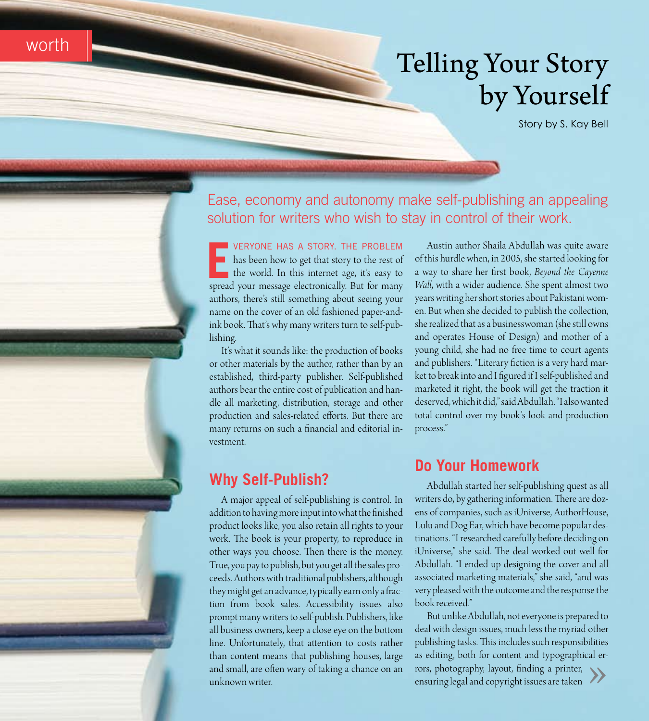## **Telling Your Story** by Yourself

Story by S. Kay Bell



worth

Ease, economy and autonomy make self-publishing an appealing solution for writers who wish to stay in control of their work.

VERYONE HAS A STORY. THE PROBLEM has been how to get that story to the rest of the world. In this internet age, it's easy to spread your message electronically. But for many authors, there's still something about seeing your name on the cover of an old fashioned paper-andink book. That's why many writers turn to self-publishing.

It's what it sounds like: the production of books or other materials by the author, rather than by an established, third-party publisher. Self-published authors bear the entire cost of publication and handle all marketing, distribution, storage and other production and sales-related efforts. But there are many returns on such a financial and editorial investment.

#### **Why Self-Publish?**

A major appeal of self-publishing is control. In addition to having more input into what the finished product looks like, you also retain all rights to your work. The book is your property, to reproduce in other ways you choose. Then there is the money. True, you pay to publish, but you get all the sales proceeds. Authors with traditional publishers, although they might get an advance, typically earn only a fraction from book sales. Accessibility issues also prompt many writers to self-publish. Publishers, like all business owners, keep a close eye on the bottom line. Unfortunately, that attention to costs rather than content means that publishing houses, large and small, are often wary of taking a chance on an unknown writer.

Austin author Shaila Abdullah was quite aware of this hurdle when, in 2005, she started looking for a way to share her first book, Beyond the Cayenne Wall, with a wider audience. She spent almost two years writing her short stories about Pakistani women. But when she decided to publish the collection, she realized that as a businesswoman (she still owns and operates House of Design) and mother of a young child, she had no free time to court agents and publishers. "Literary fiction is a very hard market to break into and I figured if I self-published and marketed it right, the book will get the traction it deserved, which it did," said Abdullah. "I also wanted total control over my book's look and production process."

#### **Do Your Homework**

Abdullah started her self-publishing quest as all writers do, by gathering information. There are dozens of companies, such as iUniverse, AuthorHouse, Lulu and Dog Ear, which have become popular destinations. "I researched carefully before deciding on iUniverse," she said. The deal worked out well for Abdullah. "I ended up designing the cover and all associated marketing materials," she said, "and was very pleased with the outcome and the response the book received."

But unlike Abdullah, not everyone is prepared to deal with design issues, much less the myriad other publishing tasks. This includes such responsibilities as editing, both for content and typographical errors, photography, layout, finding a printer, ensuring legal and copyright issues are taken